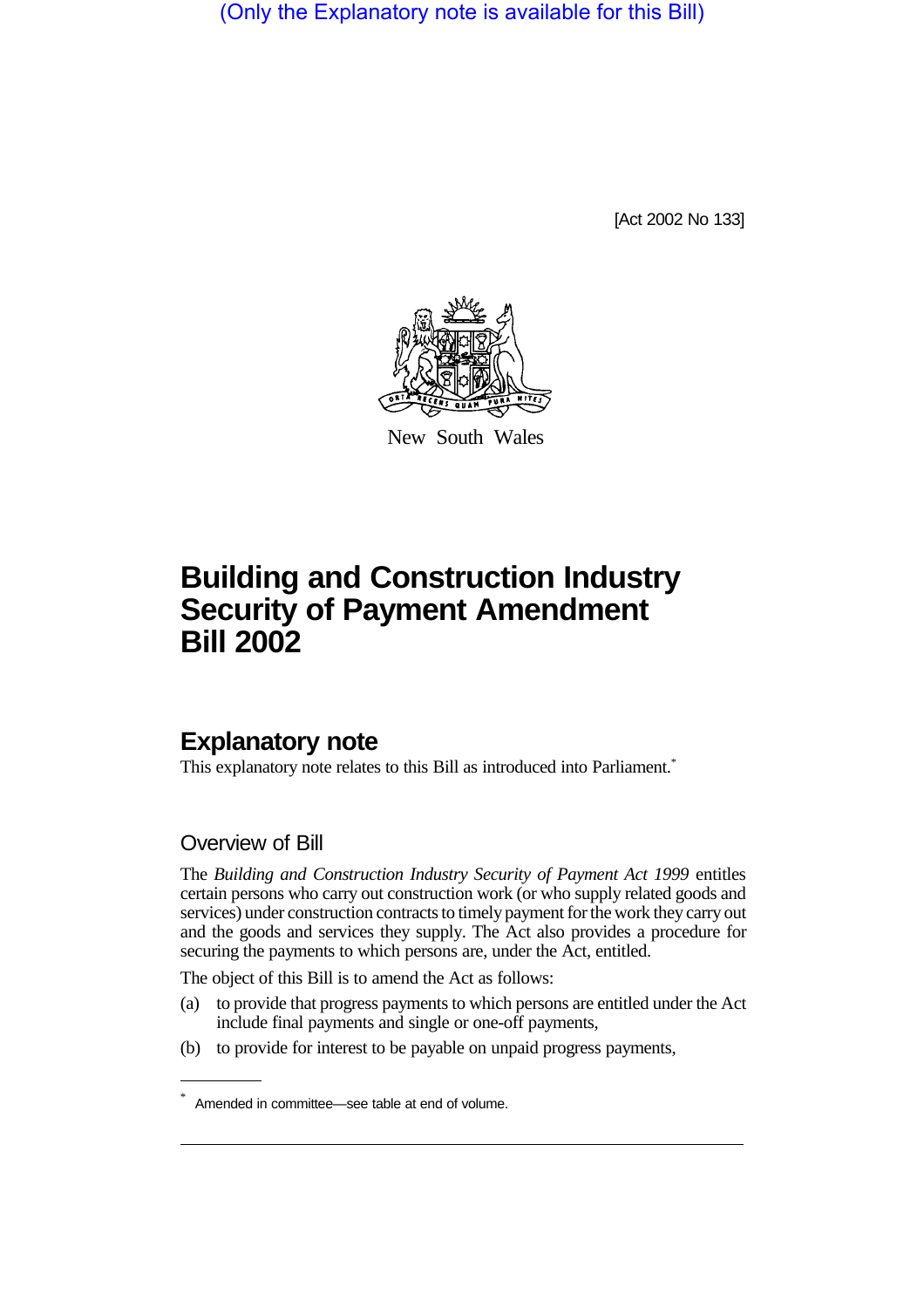(Only the Explanatory note is available for this Bill)

[Act 2002 No 133]



New South Wales

# **Building and Construction Industry Security of Payment Amendment Bill 2002**

# **Explanatory note**

This explanatory note relates to this Bill as introduced into Parliament.\*

### Overview of Bill

The *Building and Construction Industry Security of Payment Act 1999* entitles certain persons who carry out construction work (or who supply related goods and services) under construction contracts to timely payment for the work they carry out and the goods and services they supply. The Act also provides a procedure for securing the payments to which persons are, under the Act, entitled.

The object of this Bill is to amend the Act as follows:

- (a) to provide that progress payments to which persons are entitled under the Act include final payments and single or one-off payments,
- (b) to provide for interest to be payable on unpaid progress payments,

Amended in committee—see table at end of volume.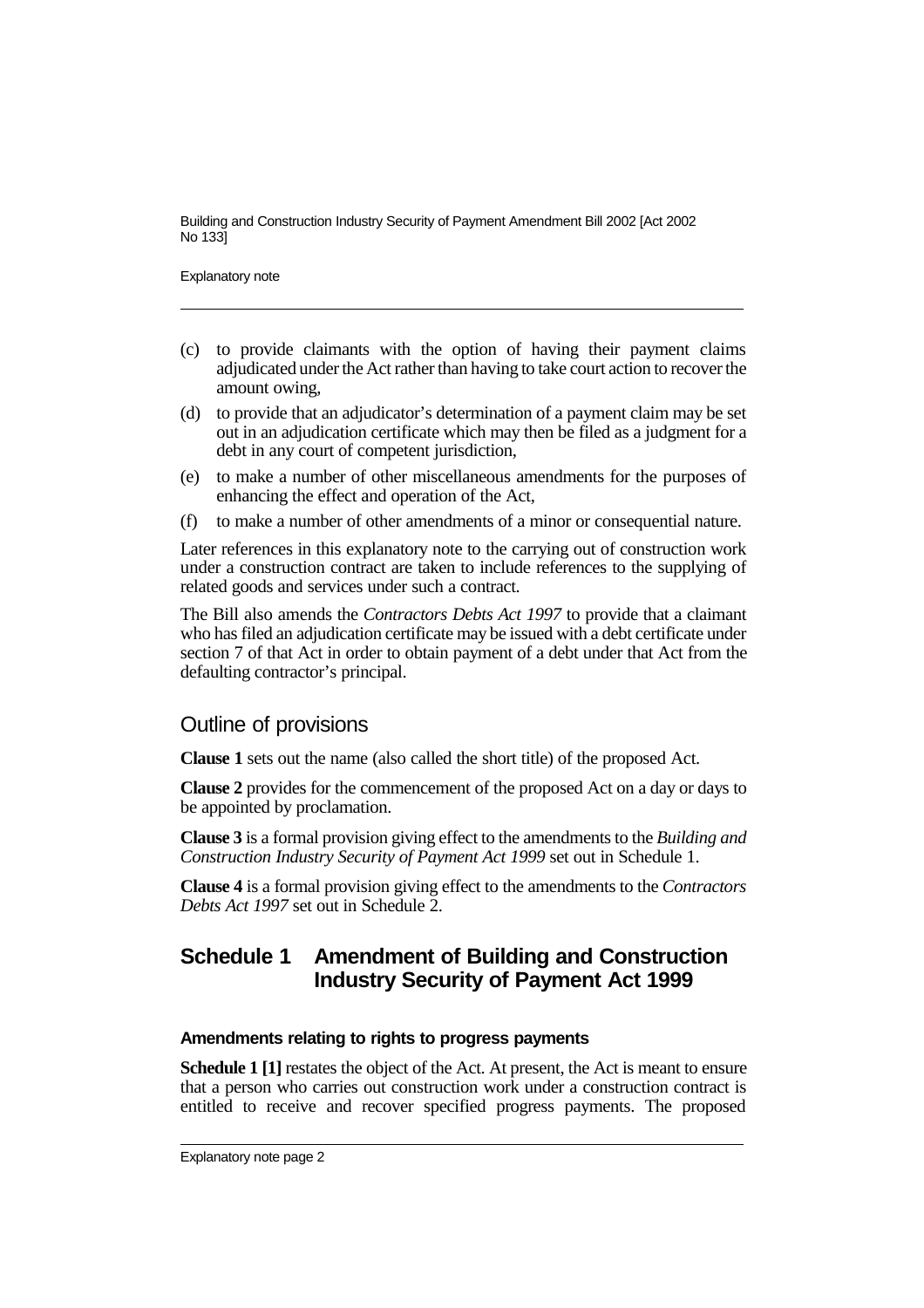Explanatory note

- (c) to provide claimants with the option of having their payment claims adjudicated under the Act rather than having to take court action to recover the amount owing,
- (d) to provide that an adjudicator's determination of a payment claim may be set out in an adjudication certificate which may then be filed as a judgment for a debt in any court of competent jurisdiction.
- (e) to make a number of other miscellaneous amendments for the purposes of enhancing the effect and operation of the Act,
- (f) to make a number of other amendments of a minor or consequential nature.

Later references in this explanatory note to the carrying out of construction work under a construction contract are taken to include references to the supplying of related goods and services under such a contract.

The Bill also amends the *Contractors Debts Act 1997* to provide that a claimant who has filed an adjudication certificate may be issued with a debt certificate under section 7 of that Act in order to obtain payment of a debt under that Act from the defaulting contractor's principal.

### Outline of provisions

**Clause 1** sets out the name (also called the short title) of the proposed Act.

**Clause 2** provides for the commencement of the proposed Act on a day or days to be appointed by proclamation.

**Clause 3** is a formal provision giving effect to the amendments to the *Building and Construction Industry Security of Payment Act 1999* set out in Schedule 1.

**Clause 4** is a formal provision giving effect to the amendments to the *Contractors Debts Act 1997* set out in Schedule 2.

### **Schedule 1 Amendment of Building and Construction Industry Security of Payment Act 1999**

#### **Amendments relating to rights to progress payments**

**Schedule 1 [1]** restates the object of the Act. At present, the Act is meant to ensure that a person who carries out construction work under a construction contract is entitled to receive and recover specified progress payments. The proposed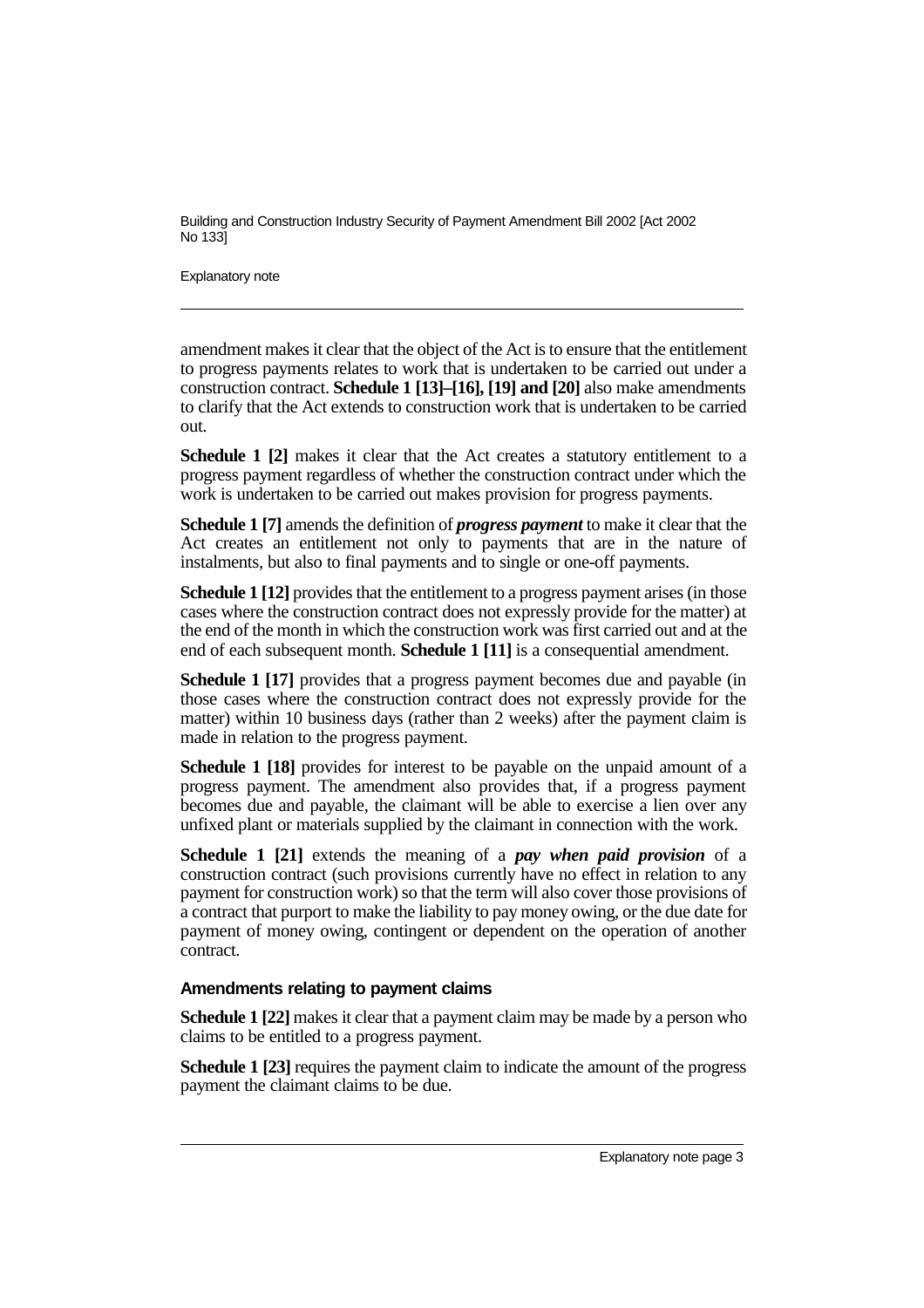Explanatory note

amendment makes it clear that the object of the Act is to ensure that the entitlement to progress payments relates to work that is undertaken to be carried out under a construction contract. **Schedule 1 [13]–[16], [19] and [20]** also make amendments to clarify that the Act extends to construction work that is undertaken to be carried out.

**Schedule 1 [2]** makes it clear that the Act creates a statutory entitlement to a progress payment regardless of whether the construction contract under which the work is undertaken to be carried out makes provision for progress payments.

**Schedule 1 [7]** amends the definition of *progress payment* to make it clear that the Act creates an entitlement not only to payments that are in the nature of instalments, but also to final payments and to single or one-off payments.

**Schedule 1 [12]** provides that the entitlement to a progress payment arises (in those cases where the construction contract does not expressly provide for the matter) at the end of the month in which the construction work was first carried out and at the end of each subsequent month. **Schedule 1 [11]** is a consequential amendment.

**Schedule 1 [17]** provides that a progress payment becomes due and payable (in those cases where the construction contract does not expressly provide for the matter) within 10 business days (rather than 2 weeks) after the payment claim is made in relation to the progress payment.

**Schedule 1 [18]** provides for interest to be payable on the unpaid amount of a progress payment. The amendment also provides that, if a progress payment becomes due and payable, the claimant will be able to exercise a lien over any unfixed plant or materials supplied by the claimant in connection with the work.

**Schedule 1 [21]** extends the meaning of a *pay when paid provision* of a construction contract (such provisions currently have no effect in relation to any payment for construction work) so that the term will also cover those provisions of a contract that purport to make the liability to pay money owing, or the due date for payment of money owing, contingent or dependent on the operation of another contract.

#### **Amendments relating to payment claims**

**Schedule 1 [22]** makes it clear that a payment claim may be made by a person who claims to be entitled to a progress payment.

**Schedule 1 [23]** requires the payment claim to indicate the amount of the progress payment the claimant claims to be due.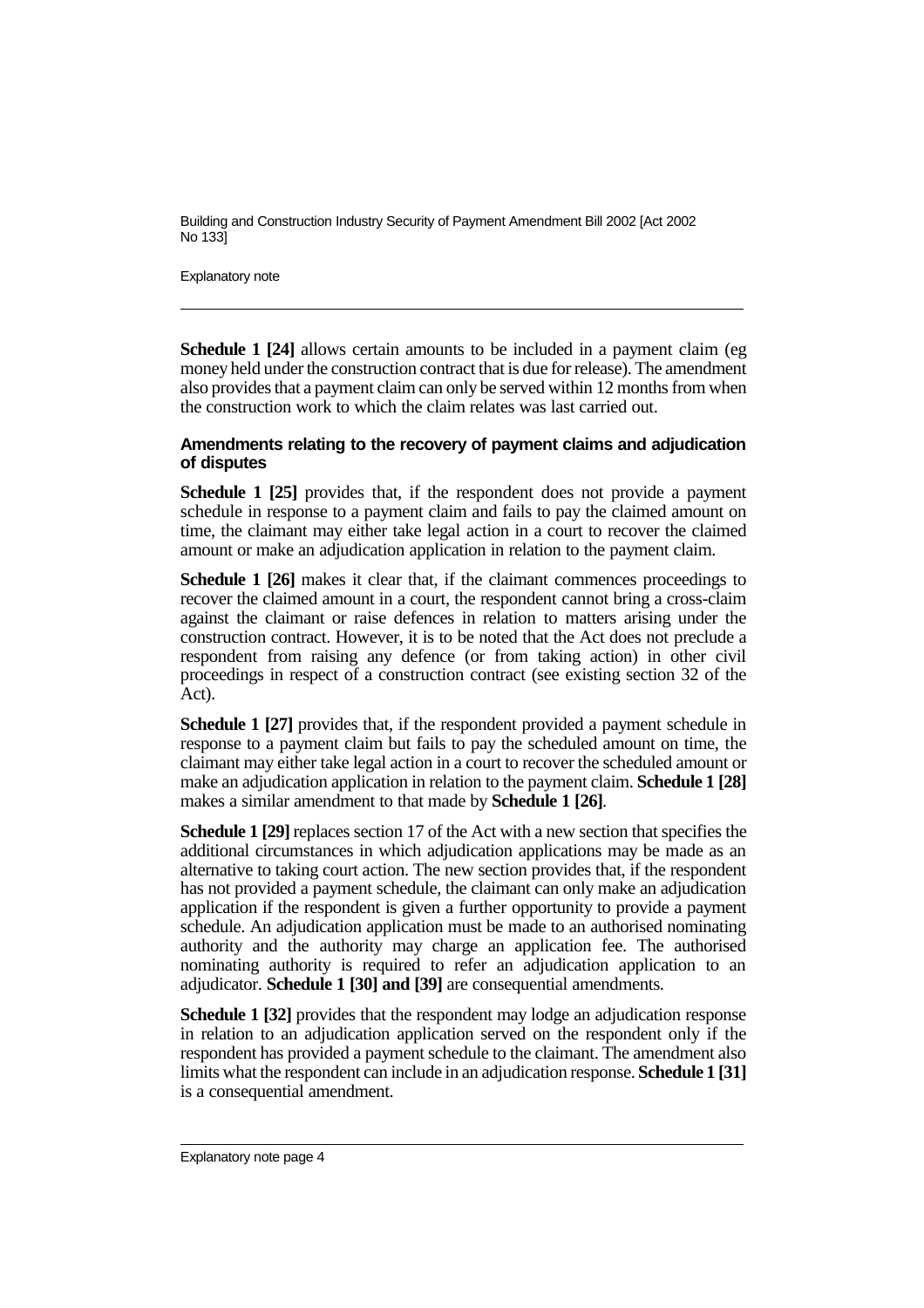Explanatory note

**Schedule 1 [24]** allows certain amounts to be included in a payment claim (eg money held under the construction contract that is due for release). The amendment also provides that a payment claim can only be served within 12 months from when the construction work to which the claim relates was last carried out.

#### **Amendments relating to the recovery of payment claims and adjudication of disputes**

**Schedule 1 [25]** provides that, if the respondent does not provide a payment schedule in response to a payment claim and fails to pay the claimed amount on time, the claimant may either take legal action in a court to recover the claimed amount or make an adjudication application in relation to the payment claim.

**Schedule 1 [26]** makes it clear that, if the claimant commences proceedings to recover the claimed amount in a court, the respondent cannot bring a cross-claim against the claimant or raise defences in relation to matters arising under the construction contract. However, it is to be noted that the Act does not preclude a respondent from raising any defence (or from taking action) in other civil proceedings in respect of a construction contract (see existing section 32 of the Act).

**Schedule 1 [27]** provides that, if the respondent provided a payment schedule in response to a payment claim but fails to pay the scheduled amount on time, the claimant may either take legal action in a court to recover the scheduled amount or make an adjudication application in relation to the payment claim. **Schedule 1 [28]** makes a similar amendment to that made by **Schedule 1 [26]**.

**Schedule 1 [29]** replaces section 17 of the Act with a new section that specifies the additional circumstances in which adjudication applications may be made as an alternative to taking court action. The new section provides that, if the respondent has not provided a payment schedule, the claimant can only make an adjudication application if the respondent is given a further opportunity to provide a payment schedule. An adjudication application must be made to an authorised nominating authority and the authority may charge an application fee. The authorised nominating authority is required to refer an adjudication application to an adjudicator. **Schedule 1 [30] and [39]** are consequential amendments.

**Schedule 1 [32]** provides that the respondent may lodge an adjudication response in relation to an adjudication application served on the respondent only if the respondent has provided a payment schedule to the claimant. The amendment also limits what the respondent can include in an adjudication response. **Schedule 1 [31]** is a consequential amendment.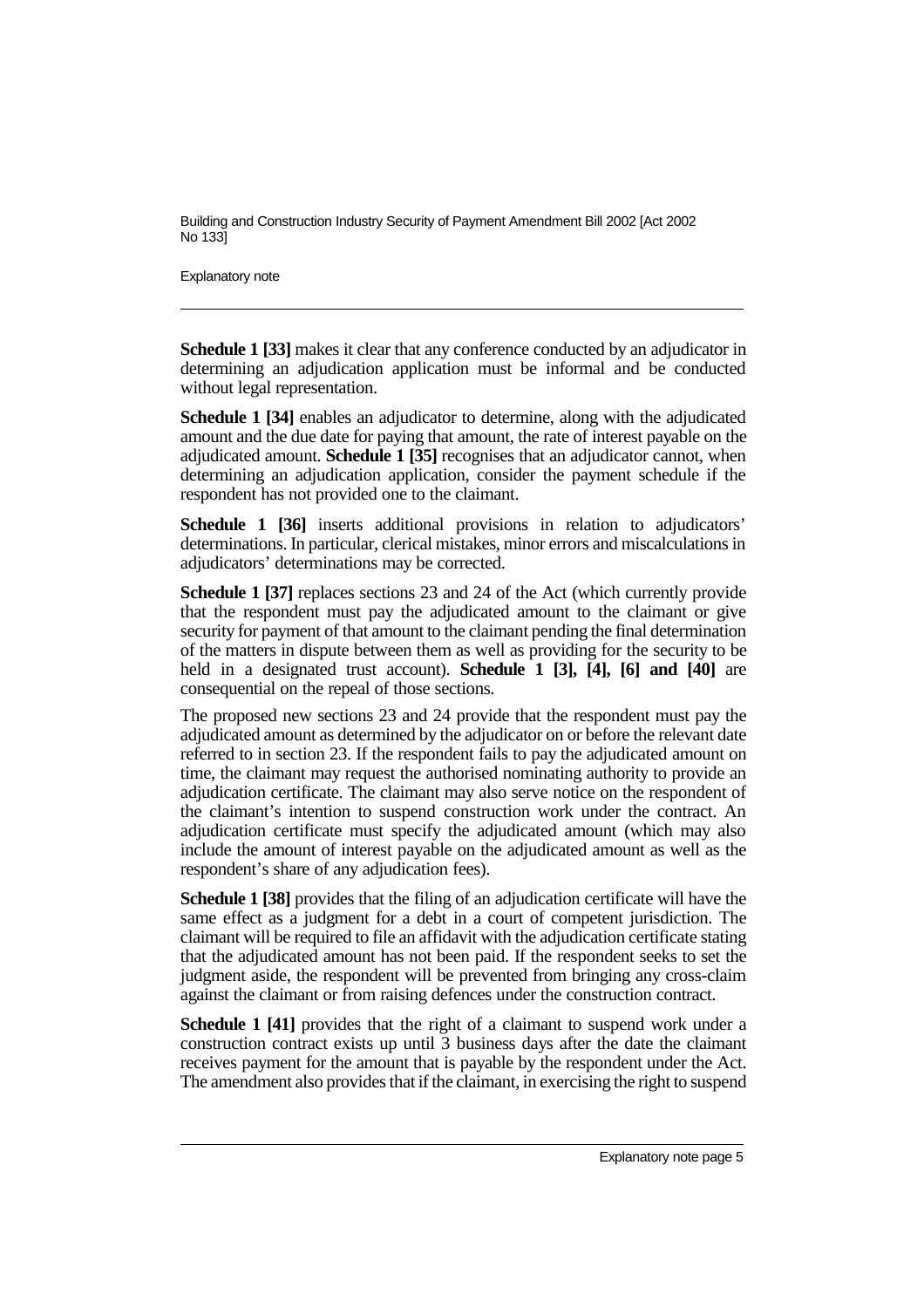Explanatory note

**Schedule 1 [33]** makes it clear that any conference conducted by an adjudicator in determining an adjudication application must be informal and be conducted without legal representation.

**Schedule 1 [34]** enables an adjudicator to determine, along with the adjudicated amount and the due date for paying that amount, the rate of interest payable on the adjudicated amount. **Schedule 1 [35]** recognises that an adjudicator cannot, when determining an adjudication application, consider the payment schedule if the respondent has not provided one to the claimant.

**Schedule 1 [36]** inserts additional provisions in relation to adjudicators' determinations. In particular, clerical mistakes, minor errors and miscalculations in adjudicators' determinations may be corrected.

**Schedule 1 [37]** replaces sections 23 and 24 of the Act (which currently provide that the respondent must pay the adjudicated amount to the claimant or give security for payment of that amount to the claimant pending the final determination of the matters in dispute between them as well as providing for the security to be held in a designated trust account). **Schedule 1 [3], [4], [6] and [40]** are consequential on the repeal of those sections.

The proposed new sections 23 and 24 provide that the respondent must pay the adjudicated amount as determined by the adjudicator on or before the relevant date referred to in section 23. If the respondent fails to pay the adjudicated amount on time, the claimant may request the authorised nominating authority to provide an adjudication certificate. The claimant may also serve notice on the respondent of the claimant's intention to suspend construction work under the contract. An adjudication certificate must specify the adjudicated amount (which may also include the amount of interest payable on the adjudicated amount as well as the respondent's share of any adjudication fees).

**Schedule 1 [38]** provides that the filing of an adjudication certificate will have the same effect as a judgment for a debt in a court of competent jurisdiction. The claimant will be required to file an affidavit with the adjudication certificate stating that the adjudicated amount has not been paid. If the respondent seeks to set the judgment aside, the respondent will be prevented from bringing any cross-claim against the claimant or from raising defences under the construction contract.

**Schedule 1 [41]** provides that the right of a claimant to suspend work under a construction contract exists up until 3 business days after the date the claimant receives payment for the amount that is payable by the respondent under the Act. The amendment also provides that if the claimant, in exercising the right to suspend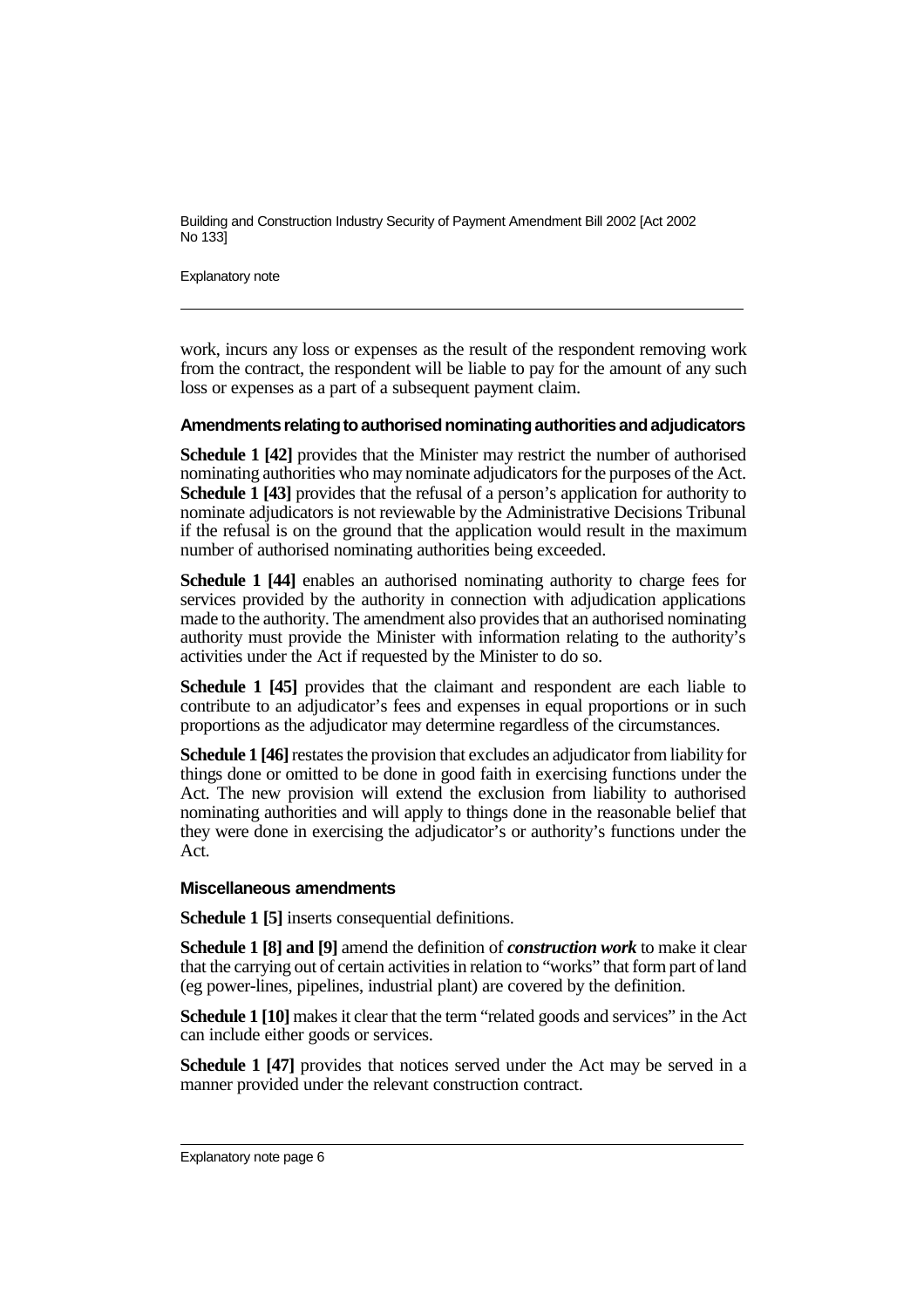Explanatory note

work, incurs any loss or expenses as the result of the respondent removing work from the contract, the respondent will be liable to pay for the amount of any such loss or expenses as a part of a subsequent payment claim.

#### Amendments relating to authorised nominating authorities and adjudicators

**Schedule 1 [42]** provides that the Minister may restrict the number of authorised nominating authorities who may nominate adjudicators for the purposes of the Act. **Schedule 1 [43]** provides that the refusal of a person's application for authority to nominate adjudicators is not reviewable by the Administrative Decisions Tribunal if the refusal is on the ground that the application would result in the maximum number of authorised nominating authorities being exceeded.

**Schedule 1 [44]** enables an authorised nominating authority to charge fees for services provided by the authority in connection with adjudication applications made to the authority. The amendment also provides that an authorised nominating authority must provide the Minister with information relating to the authority's activities under the Act if requested by the Minister to do so.

**Schedule 1 [45]** provides that the claimant and respondent are each liable to contribute to an adjudicator's fees and expenses in equal proportions or in such proportions as the adjudicator may determine regardless of the circumstances.

**Schedule 1 [46]**restates the provision that excludes an adjudicator from liability for things done or omitted to be done in good faith in exercising functions under the Act. The new provision will extend the exclusion from liability to authorised nominating authorities and will apply to things done in the reasonable belief that they were done in exercising the adjudicator's or authority's functions under the Act.

#### **Miscellaneous amendments**

**Schedule 1 [5]** inserts consequential definitions.

**Schedule 1 [8] and [9]** amend the definition of *construction work* to make it clear that the carrying out of certain activities in relation to "works" that form part of land (eg power-lines, pipelines, industrial plant) are covered by the definition.

**Schedule 1 [10]** makes it clear that the term "related goods and services" in the Act can include either goods or services.

**Schedule 1 [47]** provides that notices served under the Act may be served in a manner provided under the relevant construction contract.